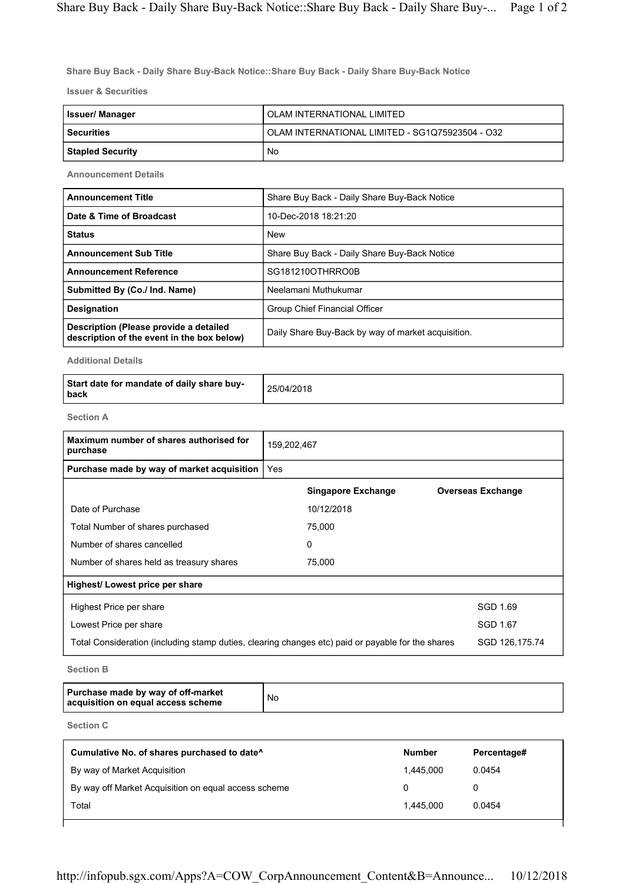**Share Buy Back - Daily Share Buy-Back Notice::Share Buy Back - Daily Share Buy-Back Notice**

**Issuer & Securities**

| <b>Issuer/Manager</b> | OLAM INTERNATIONAL LIMITED                      |
|-----------------------|-------------------------------------------------|
| l Securities          | OLAM INTERNATIONAL LIMITED - SG1Q75923504 - O32 |
| Stapled Security      | No                                              |

**Announcement Details**

| <b>Announcement Title</b>                                                            | Share Buy Back - Daily Share Buy-Back Notice       |
|--------------------------------------------------------------------------------------|----------------------------------------------------|
| Date & Time of Broadcast                                                             | 10-Dec-2018 18:21:20                               |
| <b>Status</b>                                                                        | <b>New</b>                                         |
| <b>Announcement Sub Title</b>                                                        | Share Buy Back - Daily Share Buy-Back Notice       |
| <b>Announcement Reference</b>                                                        | SG181210OTHRRO0B                                   |
| Submitted By (Co./ Ind. Name)                                                        | Neelamani Muthukumar                               |
| <b>Designation</b>                                                                   | Group Chief Financial Officer                      |
| Description (Please provide a detailed<br>description of the event in the box below) | Daily Share Buy-Back by way of market acquisition. |

**Additional Details**

| Start date for mandate of daily share buy-<br><b>back</b> | 25/04/2018 |
|-----------------------------------------------------------|------------|
|-----------------------------------------------------------|------------|

**Section A**

| Maximum number of shares authorised for<br>purchase                                               | 159,202,467 |                           |                          |                |
|---------------------------------------------------------------------------------------------------|-------------|---------------------------|--------------------------|----------------|
| Purchase made by way of market acquisition                                                        | Yes         |                           |                          |                |
|                                                                                                   |             | <b>Singapore Exchange</b> | <b>Overseas Exchange</b> |                |
| Date of Purchase                                                                                  |             | 10/12/2018                |                          |                |
| Total Number of shares purchased                                                                  |             | 75,000                    |                          |                |
| Number of shares cancelled                                                                        |             | 0                         |                          |                |
| Number of shares held as treasury shares                                                          |             | 75,000                    |                          |                |
| Highest/Lowest price per share                                                                    |             |                           |                          |                |
| Highest Price per share                                                                           |             |                           |                          | SGD 1.69       |
| Lowest Price per share                                                                            |             |                           |                          | SGD 1.67       |
| Total Consideration (including stamp duties, clearing changes etc) paid or payable for the shares |             |                           |                          | SGD 126,175.74 |

**Section B**

| Purchase made by way of off-market<br>acquisition on equal access scheme | No |
|--------------------------------------------------------------------------|----|
|--------------------------------------------------------------------------|----|

**Section C**

| Cumulative No. of shares purchased to date <sup>^</sup> | <b>Number</b> | Percentage# |
|---------------------------------------------------------|---------------|-------------|
| By way of Market Acquisition                            | 1.445.000     | 0.0454      |
| By way off Market Acquisition on equal access scheme    |               |             |
| Total                                                   | 1.445.000     | 0.0454      |
|                                                         |               |             |